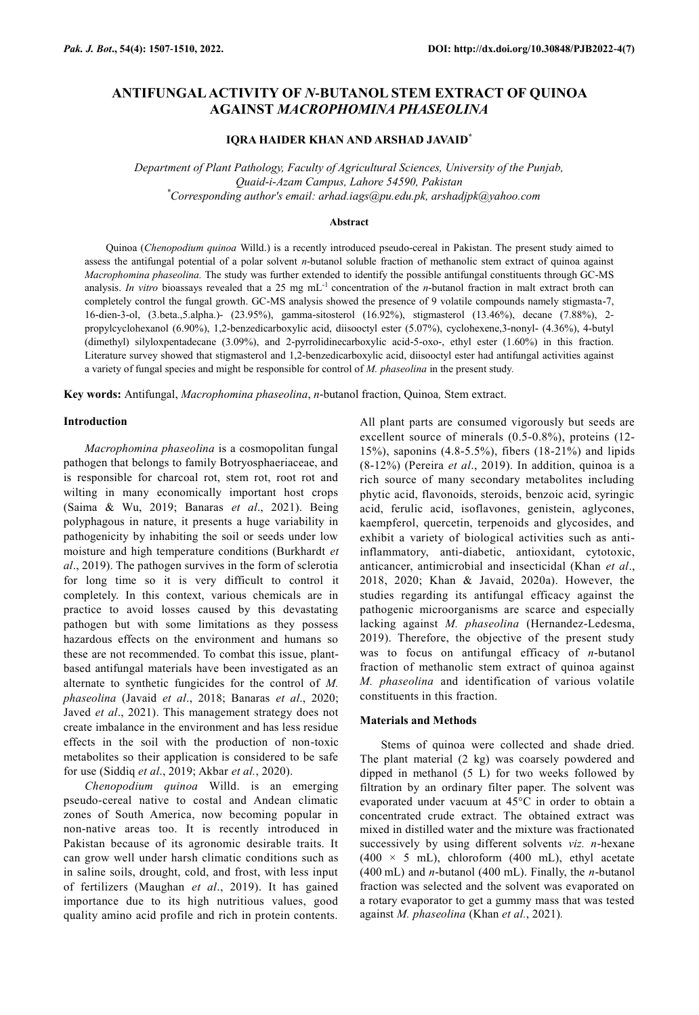# **ANTIFUNGAL ACTIVITY OF** *N-***BUTANOL STEM EXTRACT OF QUINOA AGAINST** *MACROPHOMINA PHASEOLINA*

# **IQRA HAIDER KHAN AND ARSHAD JAVAID\***

*Department of Plant Pathology, Faculty of Agricultural Sciences, University of the Punjab, Quaid-i-Azam Campus, Lahore 54590, Pakistan \*Corresponding author's email: arhad.iags@pu.edu.pk, arshadjpk@yahoo.com*

#### **Abstract**

Quinoa (*Chenopodium quinoa* Willd.) is a recently introduced pseudo-cereal in Pakistan. The present study aimed to assess the antifungal potential of a polar solvent *n-*butanol soluble fraction of methanolic stem extract of quinoa against *Macrophomina phaseolina.* The study was further extended to identify the possible antifungal constituents through GC-MS analysis. *In vitro* bioassays revealed that a 25 mg mL<sup>-1</sup> concentration of the *n*-butanol fraction in malt extract broth can completely control the fungal growth. GC-MS analysis showed the presence of 9 volatile compounds namely stigmasta-7, 16-dien-3-ol, (3.beta.,5.alpha.)- (23.95%), gamma-sitosterol (16.92%), stigmasterol (13.46%), decane (7.88%), 2 propylcyclohexanol (6.90%), 1,2-benzedicarboxylic acid, diisooctyl ester (5.07%), cyclohexene,3-nonyl- (4.36%), 4-butyl (dimethyl) silyloxpentadecane (3.09%), and 2-pyrrolidinecarboxylic acid-5-oxo-, ethyl ester (1.60%) in this fraction. Literature survey showed that stigmasterol and 1,2-benzedicarboxylic acid, diisooctyl ester had antifungal activities against a variety of fungal species and might be responsible for control of *M. phaseolina* in the present study*.*

**Key words:** Antifungal, *Macrophomina phaseolina*, *n-*butanol fraction, Quinoa*,* Stem extract.

#### **Introduction**

*Macrophomina phaseolina* is a cosmopolitan fungal pathogen that belongs to family Botryosphaeriaceae, and is responsible for charcoal rot, stem rot, root rot and wilting in many economically important host crops (Saima & Wu, 2019; Banaras *et al*., 2021). Being polyphagous in nature, it presents a huge variability in pathogenicity by inhabiting the soil or seeds under low moisture and high temperature conditions (Burkhardt *et al*., 2019). The pathogen survives in the form of sclerotia for long time so it is very difficult to control it completely. In this context, various chemicals are in practice to avoid losses caused by this devastating pathogen but with some limitations as they possess hazardous effects on the environment and humans so these are not recommended. To combat this issue, plantbased antifungal materials have been investigated as an alternate to synthetic fungicides for the control of *M. phaseolina* (Javaid *et al*., 2018; Banaras *et al*., 2020; Javed *et al*., 2021). This management strategy does not create imbalance in the environment and has less residue effects in the soil with the production of non-toxic metabolites so their application is considered to be safe for use (Siddiq *et al*., 2019; Akbar *et al.*, 2020).

*Chenopodium quinoa* Willd. is an emerging pseudo-cereal native to costal and Andean climatic zones of South America, now becoming popular in non-native areas too. It is recently introduced in Pakistan because of its agronomic desirable traits. It can grow well under harsh climatic conditions such as in saline soils, drought, cold, and frost, with less input of fertilizers (Maughan *et al*., 2019). It has gained importance due to its high nutritious values, good quality amino acid profile and rich in protein contents.

All plant parts are consumed vigorously but seeds are excellent source of minerals (0.5-0.8%), proteins (12- 15%), saponins (4.8-5.5%), fibers (18-21%) and lipids (8-12%) (Pereira *et al*., 2019). In addition, quinoa is a rich source of many secondary metabolites including phytic acid, flavonoids, steroids, benzoic acid, syringic acid, ferulic acid, isoflavones, genistein, aglycones, kaempferol, quercetin, terpenoids and glycosides, and exhibit a variety of biological activities such as antiinflammatory, anti-diabetic, antioxidant, cytotoxic, anticancer, antimicrobial and insecticidal (Khan *et al*., 2018, 2020; Khan & Javaid, 2020a). However, the studies regarding its antifungal efficacy against the pathogenic microorganisms are scarce and especially lacking against *M. phaseolina* (Hernandez-Ledesma, 2019). Therefore, the objective of the present study was to focus on antifungal efficacy of *n*-butanol fraction of methanolic stem extract of quinoa against *M. phaseolina* and identification of various volatile constituents in this fraction.

## **Materials and Methods**

Stems of quinoa were collected and shade dried. The plant material (2 kg) was coarsely powdered and dipped in methanol (5 L) for two weeks followed by filtration by an ordinary filter paper. The solvent was evaporated under vacuum at 45°C in order to obtain a concentrated crude extract. The obtained extract was mixed in distilled water and the mixture was fractionated successively by using different solvents *viz. n-*hexane (400  $\times$  5 mL), chloroform (400 mL), ethyl acetate (400 mL) and *n*-butanol (400 mL). Finally, the *n*-butanol fraction was selected and the solvent was evaporated on a rotary evaporator to get a gummy mass that was tested against *M. phaseolina* (Khan *et al.*, 2021)*.*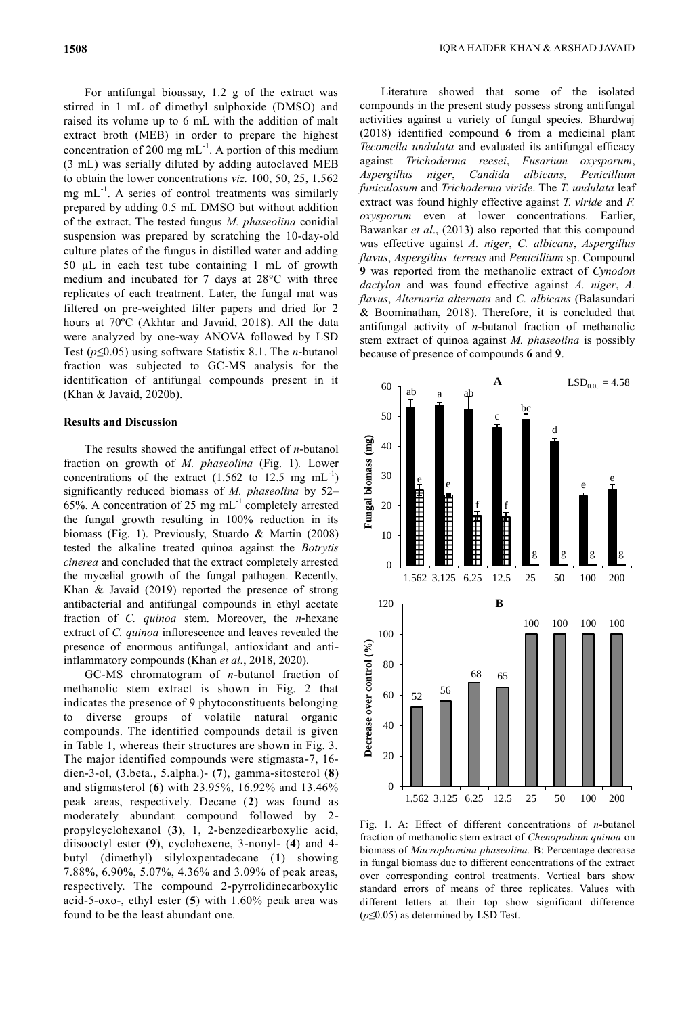For antifungal bioassay, 1.2 g of the extract was stirred in 1 mL of dimethyl sulphoxide (DMSO) and raised its volume up to 6 mL with the addition of malt extract broth (MEB) in order to prepare the highest concentration of 200 mg  $mL^{-1}$ . A portion of this medium (3 mL) was serially diluted by adding autoclaved MEB to obtain the lower concentrations *viz.* 100, 50, 25, 1.562 mg  $mL^{-1}$ . A series of control treatments was similarly prepared by adding 0.5 mL DMSO but without addition of the extract. The tested fungus *M. phaseolina* conidial suspension was prepared by scratching the 10-day-old culture plates of the fungus in distilled water and adding 50 µL in each test tube containing 1 mL of growth medium and incubated for 7 days at 28°C with three replicates of each treatment. Later, the fungal mat was filtered on pre-weighted filter papers and dried for 2 hours at 70ºC (Akhtar and Javaid, 2018). All the data were analyzed by one-way ANOVA followed by LSD Test (*p*≤0.05) using software Statistix 8.1. The *n-*butanol fraction was subjected to GC-MS analysis for the identification of antifungal compounds present in it (Khan & Javaid, 2020b).

## **Results and Discussion**

The results showed the antifungal effect of *n-*butanol fraction on growth of *M. phaseolina* (Fig. 1)*.* Lower concentrations of the extract  $(1.562 \text{ to } 12.5 \text{ mg } \text{mL}^{-1})$ significantly reduced biomass of *M. phaseolina* by 52– 65%. A concentration of 25 mg  $mL^{-1}$  completely arrested the fungal growth resulting in 100% reduction in its biomass (Fig. 1). Previously, Stuardo & Martin (2008) tested the alkaline treated quinoa against the *Botrytis cinerea* and concluded that the extract completely arrested the mycelial growth of the fungal pathogen. Recently, Khan & Javaid (2019) reported the presence of strong antibacterial and antifungal compounds in ethyl acetate fraction of *C. quinoa* stem. Moreover, the *n*-hexane extract of *C. quinoa* inflorescence and leaves revealed the presence of enormous antifungal, antioxidant and antiinflammatory compounds (Khan *et al.*, 2018, 2020).

GC-MS chromatogram of *n*-butanol fraction of methanolic stem extract is shown in Fig. 2 that indicates the presence of 9 phytoconstituents belonging to diverse groups of volatile natural organic compounds. The identified compounds detail is given in Table 1, whereas their structures are shown in Fig. 3. The major identified compounds were stigmasta-7, 16 dien-3-ol, (3.beta., 5.alpha.)- (**7**), gamma-sitosterol (**8**) and stigmasterol (**6**) with 23.95%, 16.92% and 13.46% peak areas, respectively. Decane (**2**) was found as moderately abundant compound followed by 2 propylcyclohexanol (**3**), 1, 2-benzedicarboxylic acid, diisooctyl ester (**9**), cyclohexene, 3-nonyl- (**4**) and 4 butyl (dimethyl) silyloxpentadecane (**1**) showing 7.88%, 6.90%, 5.07%, 4.36% and 3.09% of peak areas, respectively. The compound 2-pyrrolidinecarboxylic acid-5-oxo-, ethyl ester (**5**) with 1.60% peak area was found to be the least abundant one.

Literature showed that some of the isolated compounds in the present study possess strong antifungal activities against a variety of fungal species. Bhardwaj (2018) identified compound **6** from a medicinal plant *Tecomella undulata* and evaluated its antifungal efficacy against *Trichoderma reesei*, *Fusarium oxysporum*, *Aspergillus niger*, *Candida albicans*, *Penicillium funiculosum* and *Trichoderma viride*. The *T. undulata* leaf extract was found highly effective against *T. viride* and *F. oxysporum* even at lower concentrations*.* Earlier, Bawankar *et al*., (2013) also reported that this compound was effective against *A. niger*, *C. albicans*, *Aspergillus flavus*, *Aspergillus terreus* and *Penicillium* sp. Compound **9** was reported from the methanolic extract of *Cynodon dactylon* and was found effective against *A. niger*, *A. flavus*, *Alternaria alternata* and *C. albicans* (Balasundari & Boominathan, 2018). Therefore, it is concluded that antifungal activity of *n*-butanol fraction of methanolic stem extract of quinoa against *M. phaseolina* is possibly because of presence of compounds **6** and **9**.



Fig. 1. A: Effect of different concentrations of *n-*butanol fraction of methanolic stem extract of *Chenopodium quinoa* on biomass of *Macrophomina phaseolina.* B: Percentage decrease in fungal biomass due to different concentrations of the extract over corresponding control treatments. Vertical bars show standard errors of means of three replicates. Values with different letters at their top show significant difference (*p*≤0.05) as determined by LSD Test.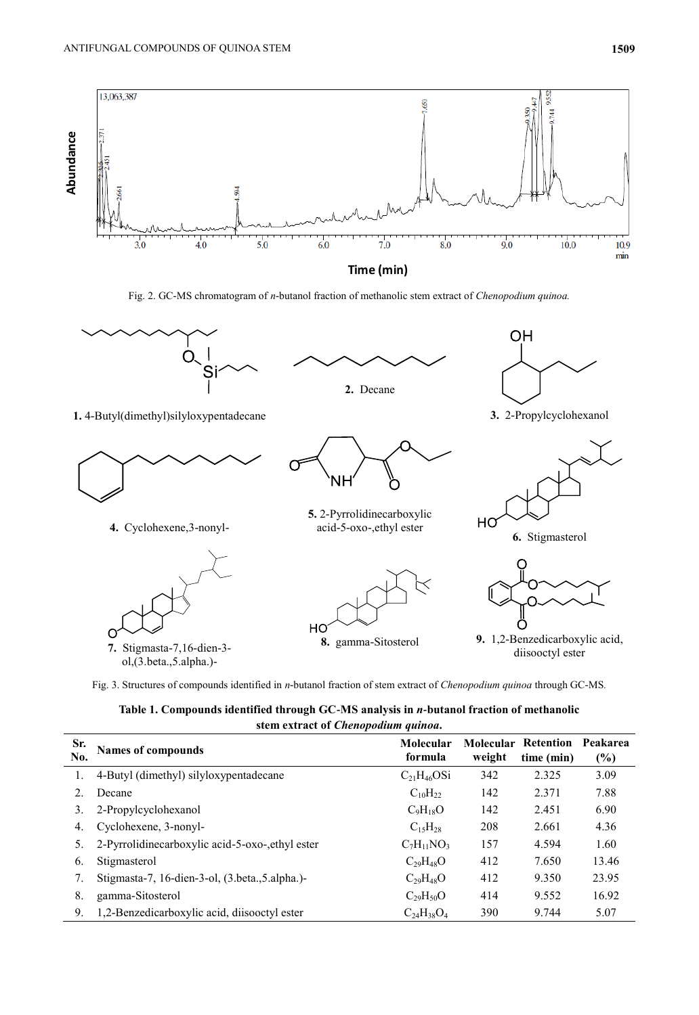

Fig. 2. GC-MS chromatogram of *n*-butanol fraction of methanolic stem extract of *Chenopodium quinoa.*



Fig. 3. Structures of compounds identified in *n-*butanol fraction of stem extract of *Chenopodium quinoa* through GC-MS*.*

**Table 1. Compounds identified through GC-MS analysis in** *n-***butanol fraction of methanolic stem extract of** *Chenopodium quinoa***.**

|            | $\overline{\phantom{a}}$                         |                      |                     |                                |                 |
|------------|--------------------------------------------------|----------------------|---------------------|--------------------------------|-----------------|
| Sr.<br>No. | <b>Names of compounds</b>                        | Molecular<br>formula | Molecular<br>weight | <b>Retention</b><br>time (min) | Peakarea<br>(%) |
|            | 4-Butyl (dimethyl) silyloxypentadecane           | $C_{21}H_{46}OSi$    | 342                 | 2.325                          | 3.09            |
| 2.         | Decane                                           | $C_{10}H_{22}$       | 142                 | 2.371                          | 7.88            |
| 3.         | 2-Propylcyclohexanol                             | $C_9H_{18}O$         | 142                 | 2.451                          | 6.90            |
| 4.         | Cyclohexene, 3-nonyl-                            | $C_{15}H_{28}$       | 208                 | 2.661                          | 4.36            |
| 5.         | 2-Pyrrolidinecarboxylic acid-5-oxo-, ethyl ester | $C_7H_{11}NO_3$      | 157                 | 4.594                          | 1.60            |
| 6.         | Stigmasterol                                     | $C_{29}H_{48}O$      | 412                 | 7.650                          | 13.46           |
| 7.         | Stigmasta-7, 16-dien-3-ol, (3.beta., 5.alpha.)-  | $C_{29}H_{48}O$      | 412                 | 9.350                          | 23.95           |
| 8.         | gamma-Sitosterol                                 | $C_{29}H_{50}O$      | 414                 | 9.552                          | 16.92           |
| 9.         | 1,2-Benzedicarboxylic acid, diisooctyl ester     | $C_{24}H_{38}O_4$    | 390                 | 9.744                          | 5.07            |